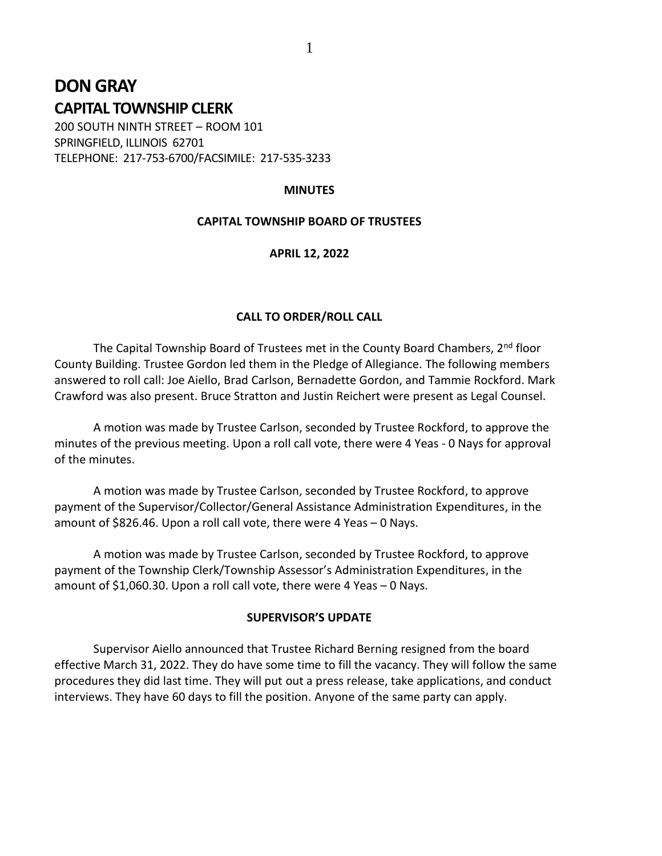# **DON GRAY CAPITAL TOWNSHIP CLERK**

200 SOUTH NINTH STREET – ROOM 101 SPRINGFIELD, ILLINOIS 62701 TELEPHONE: 217-753-6700/FACSIMILE: 217-535-3233

## **MINUTES**

# **CAPITAL TOWNSHIP BOARD OF TRUSTEES**

## **APRIL 12, 2022**

# **CALL TO ORDER/ROLL CALL**

The Capital Township Board of Trustees met in the County Board Chambers,  $2^{nd}$  floor County Building. Trustee Gordon led them in the Pledge of Allegiance. The following members answered to roll call: Joe Aiello, Brad Carlson, Bernadette Gordon, and Tammie Rockford. Mark Crawford was also present. Bruce Stratton and Justin Reichert were present as Legal Counsel.

A motion was made by Trustee Carlson, seconded by Trustee Rockford, to approve the minutes of the previous meeting. Upon a roll call vote, there were 4 Yeas - 0 Nays for approval of the minutes.

A motion was made by Trustee Carlson, seconded by Trustee Rockford, to approve payment of the Supervisor/Collector/General Assistance Administration Expenditures, in the amount of \$826.46. Upon a roll call vote, there were 4 Yeas – 0 Nays.

A motion was made by Trustee Carlson, seconded by Trustee Rockford, to approve payment of the Township Clerk/Township Assessor's Administration Expenditures, in the amount of \$1,060.30. Upon a roll call vote, there were 4 Yeas – 0 Nays.

## **SUPERVISOR'S UPDATE**

Supervisor Aiello announced that Trustee Richard Berning resigned from the board effective March 31, 2022. They do have some time to fill the vacancy. They will follow the same procedures they did last time. They will put out a press release, take applications, and conduct interviews. They have 60 days to fill the position. Anyone of the same party can apply.